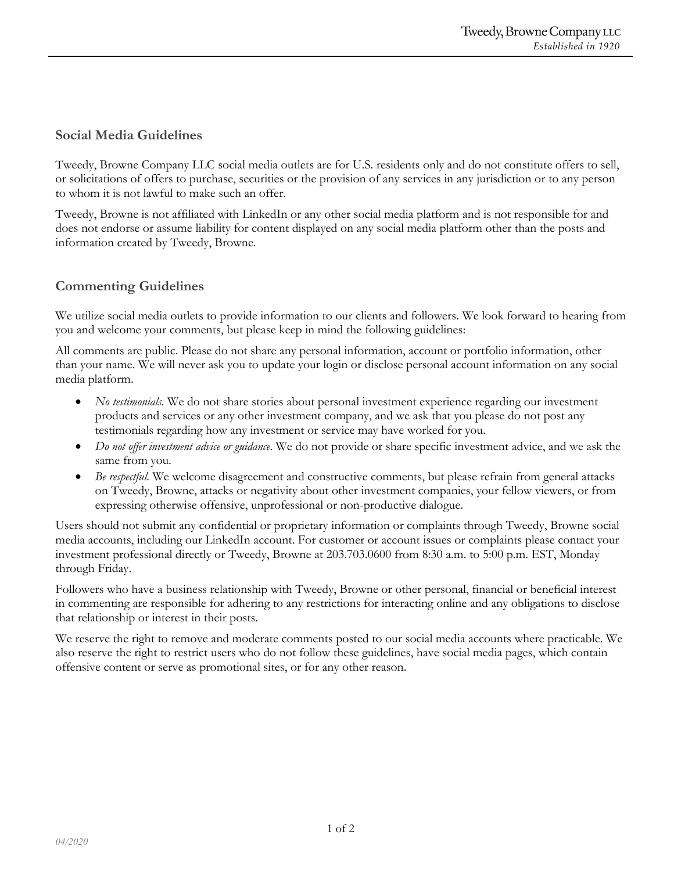## **Social Media Guidelines**

Tweedy, Browne Company LLC social media outlets are for U.S. residents only and do not constitute offers to sell, or solicitations of offers to purchase, securities or the provision of any services in any jurisdiction or to any person to whom it is not lawful to make such an offer.

Tweedy, Browne is not affiliated with LinkedIn or any other social media platform and is not responsible for and does not endorse or assume liability for content displayed on any social media platform other than the posts and information created by Tweedy, Browne.

## **Commenting Guidelines**

We utilize social media outlets to provide information to our clients and followers. We look forward to hearing from you and welcome your comments, but please keep in mind the following guidelines:

All comments are public. Please do not share any personal information, account or portfolio information, other than your name. We will never ask you to update your login or disclose personal account information on any social media platform.

- *No testimonials*. We do not share stories about personal investment experience regarding our investment products and services or any other investment company, and we ask that you please do not post any testimonials regarding how any investment or service may have worked for you.
- *Do not offer investment advice or guidance*. We do not provide or share specific investment advice, and we ask the same from you.
- *Be respectful*. We welcome disagreement and constructive comments, but please refrain from general attacks on Tweedy, Browne, attacks or negativity about other investment companies, your fellow viewers, or from expressing otherwise offensive, unprofessional or non-productive dialogue.

Users should not submit any confidential or proprietary information or complaints through Tweedy, Browne social media accounts, including our LinkedIn account. For customer or account issues or complaints please contact your investment professional directly or Tweedy, Browne at 203.703.0600 from 8:30 a.m. to 5:00 p.m. EST, Monday through Friday.

Followers who have a business relationship with Tweedy, Browne or other personal, financial or beneficial interest in commenting are responsible for adhering to any restrictions for interacting online and any obligations to disclose that relationship or interest in their posts.

We reserve the right to remove and moderate comments posted to our social media accounts where practicable. We also reserve the right to restrict users who do not follow these guidelines, have social media pages, which contain offensive content or serve as promotional sites, or for any other reason.